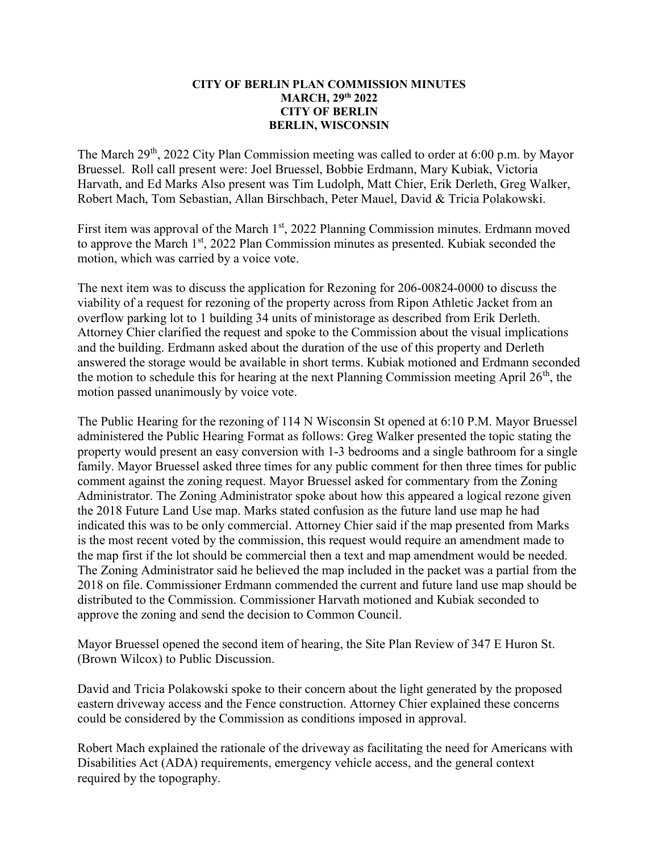## CITY OF BERLIN PLAN COMMISSION MINUTES MARCH, 29th 2022 CITY OF BERLIN BERLIN, WISCONSIN

The March  $29<sup>th</sup>$ , 2022 City Plan Commission meeting was called to order at 6:00 p.m. by Mayor Bruessel. Roll call present were: Joel Bruessel, Bobbie Erdmann, Mary Kubiak, Victoria Harvath, and Ed Marks Also present was Tim Ludolph, Matt Chier, Erik Derleth, Greg Walker, Robert Mach, Tom Sebastian, Allan Birschbach, Peter Mauel, David & Tricia Polakowski.

First item was approval of the March  $1<sup>st</sup>$ , 2022 Planning Commission minutes. Erdmann moved to approve the March 1<sup>st</sup>, 2022 Plan Commission minutes as presented. Kubiak seconded the motion, which was carried by a voice vote.

The next item was to discuss the application for Rezoning for 206-00824-0000 to discuss the viability of a request for rezoning of the property across from Ripon Athletic Jacket from an overflow parking lot to 1 building 34 units of ministorage as described from Erik Derleth. Attorney Chier clarified the request and spoke to the Commission about the visual implications and the building. Erdmann asked about the duration of the use of this property and Derleth answered the storage would be available in short terms. Kubiak motioned and Erdmann seconded the motion to schedule this for hearing at the next Planning Commission meeting April  $26<sup>th</sup>$ , the motion passed unanimously by voice vote.

The Public Hearing for the rezoning of 114 N Wisconsin St opened at 6:10 P.M. Mayor Bruessel administered the Public Hearing Format as follows: Greg Walker presented the topic stating the property would present an easy conversion with 1-3 bedrooms and a single bathroom for a single family. Mayor Bruessel asked three times for any public comment for then three times for public comment against the zoning request. Mayor Bruessel asked for commentary from the Zoning Administrator. The Zoning Administrator spoke about how this appeared a logical rezone given the 2018 Future Land Use map. Marks stated confusion as the future land use map he had indicated this was to be only commercial. Attorney Chier said if the map presented from Marks is the most recent voted by the commission, this request would require an amendment made to the map first if the lot should be commercial then a text and map amendment would be needed. The Zoning Administrator said he believed the map included in the packet was a partial from the 2018 on file. Commissioner Erdmann commended the current and future land use map should be distributed to the Commission. Commissioner Harvath motioned and Kubiak seconded to approve the zoning and send the decision to Common Council.

Mayor Bruessel opened the second item of hearing, the Site Plan Review of 347 E Huron St. (Brown Wilcox) to Public Discussion.

David and Tricia Polakowski spoke to their concern about the light generated by the proposed eastern driveway access and the Fence construction. Attorney Chier explained these concerns could be considered by the Commission as conditions imposed in approval.

Robert Mach explained the rationale of the driveway as facilitating the need for Americans with Disabilities Act (ADA) requirements, emergency vehicle access, and the general context required by the topography.